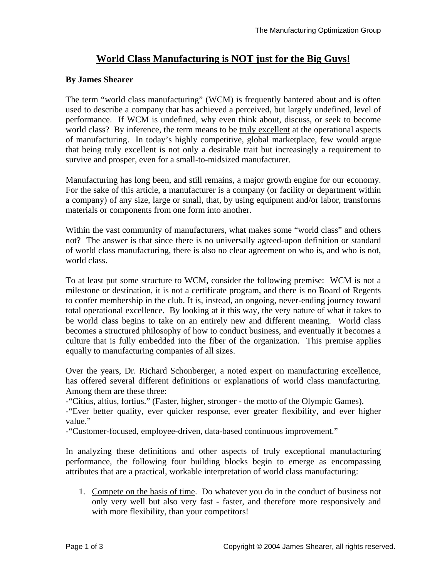## **World Class Manufacturing is NOT just for the Big Guys!**

## **By James Shearer**

The term "world class manufacturing" (WCM) is frequently bantered about and is often used to describe a company that has achieved a perceived, but largely undefined, level of performance. If WCM is undefined, why even think about, discuss, or seek to become world class? By inference, the term means to be truly excellent at the operational aspects of manufacturing. In today's highly competitive, global marketplace, few would argue that being truly excellent is not only a desirable trait but increasingly a requirement to survive and prosper, even for a small-to-midsized manufacturer.

Manufacturing has long been, and still remains, a major growth engine for our economy. For the sake of this article, a manufacturer is a company (or facility or department within a company) of any size, large or small, that, by using equipment and/or labor, transforms materials or components from one form into another.

Within the vast community of manufacturers, what makes some "world class" and others not? The answer is that since there is no universally agreed-upon definition or standard of world class manufacturing, there is also no clear agreement on who is, and who is not, world class.

To at least put some structure to WCM, consider the following premise: WCM is not a milestone or destination, it is not a certificate program, and there is no Board of Regents to confer membership in the club. It is, instead, an ongoing, never-ending journey toward total operational excellence. By looking at it this way, the very nature of what it takes to be world class begins to take on an entirely new and different meaning. World class becomes a structured philosophy of how to conduct business, and eventually it becomes a culture that is fully embedded into the fiber of the organization. This premise applies equally to manufacturing companies of all sizes.

Over the years, Dr. Richard Schonberger, a noted expert on manufacturing excellence, has offered several different definitions or explanations of world class manufacturing. Among them are these three:

-"Citius, altius, fortius." (Faster, higher, stronger - the motto of the Olympic Games).

-"Ever better quality, ever quicker response, ever greater flexibility, and ever higher value."

-"Customer-focused, employee-driven, data-based continuous improvement."

In analyzing these definitions and other aspects of truly exceptional manufacturing performance, the following four building blocks begin to emerge as encompassing attributes that are a practical, workable interpretation of world class manufacturing:

1. Compete on the basis of time. Do whatever you do in the conduct of business not only very well but also very fast - faster, and therefore more responsively and with more flexibility, than your competitors!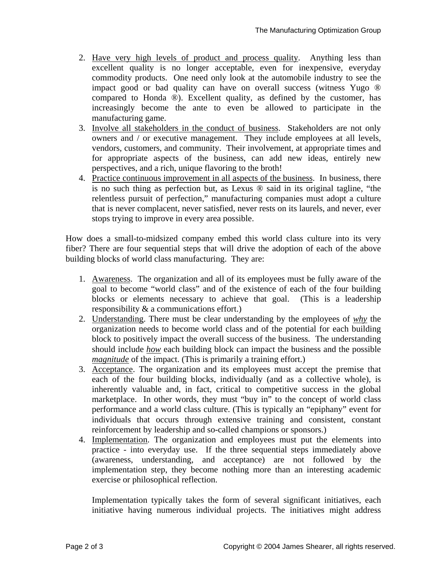- 2. Have very high levels of product and process quality. Anything less than excellent quality is no longer acceptable, even for inexpensive, everyday commodity products. One need only look at the automobile industry to see the impact good or bad quality can have on overall success (witness Yugo ® compared to Honda ®). Excellent quality, as defined by the customer, has increasingly become the ante to even be allowed to participate in the manufacturing game.
- 3. Involve all stakeholders in the conduct of business. Stakeholders are not only owners and / or executive management. They include employees at all levels, vendors, customers, and community. Their involvement, at appropriate times and for appropriate aspects of the business, can add new ideas, entirely new perspectives, and a rich, unique flavoring to the broth!
- 4. Practice continuous improvement in all aspects of the business. In business, there is no such thing as perfection but, as Lexus ® said in its original tagline, "the relentless pursuit of perfection," manufacturing companies must adopt a culture that is never complacent, never satisfied, never rests on its laurels, and never, ever stops trying to improve in every area possible.

How does a small-to-midsized company embed this world class culture into its very fiber? There are four sequential steps that will drive the adoption of each of the above building blocks of world class manufacturing. They are:

- 1. Awareness. The organization and all of its employees must be fully aware of the goal to become "world class" and of the existence of each of the four building blocks or elements necessary to achieve that goal. (This is a leadership responsibility & a communications effort.)
- 2. Understanding. There must be clear understanding by the employees of *why* the organization needs to become world class and of the potential for each building block to positively impact the overall success of the business. The understanding should include *how* each building block can impact the business and the possible *magnitude* of the impact. (This is primarily a training effort.)
- 3. Acceptance. The organization and its employees must accept the premise that each of the four building blocks, individually (and as a collective whole), is inherently valuable and, in fact, critical to competitive success in the global marketplace. In other words, they must "buy in" to the concept of world class performance and a world class culture. (This is typically an "epiphany" event for individuals that occurs through extensive training and consistent, constant reinforcement by leadership and so-called champions or sponsors.)
- 4. Implementation. The organization and employees must put the elements into practice - into everyday use. If the three sequential steps immediately above (awareness, understanding, and acceptance) are not followed by the implementation step, they become nothing more than an interesting academic exercise or philosophical reflection.

Implementation typically takes the form of several significant initiatives, each initiative having numerous individual projects. The initiatives might address